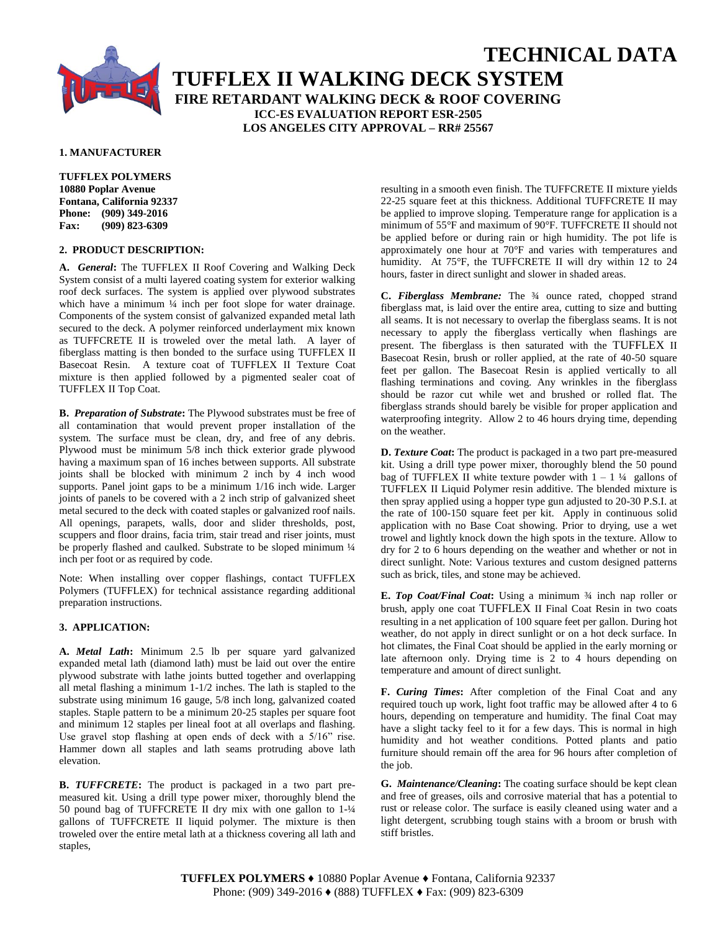

# **TECHNICAL DATA TUFFLEX II WALKING DECK SYSTEM FIRE RETARDANT WALKING DECK & ROOF COVERING ICC-ES EVALUATION REPORT ESR-2505 LOS ANGELES CITY APPROVAL – RR# 25567**

#### **1. MANUFACTURER**

**TUFFLEX POLYMERS 10880 Poplar Avenue Fontana, California 92337 Phone: (909) 349-2016 Fax: (909) 823-6309**

#### **2. PRODUCT DESCRIPTION:**

**A.** *General***:** The TUFFLEX II Roof Covering and Walking Deck System consist of a multi layered coating system for exterior walking roof deck surfaces. The system is applied over plywood substrates which have a minimum  $\frac{1}{4}$  inch per foot slope for water drainage. Components of the system consist of galvanized expanded metal lath secured to the deck. A polymer reinforced underlayment mix known as TUFFCRETE II is troweled over the metal lath. A layer of fiberglass matting is then bonded to the surface using TUFFLEX II Basecoat Resin. A texture coat of TUFFLEX II Texture Coat mixture is then applied followed by a pigmented sealer coat of TUFFLEX II Top Coat.

**B.** *Preparation of Substrate***:** The Plywood substrates must be free of all contamination that would prevent proper installation of the system. The surface must be clean, dry, and free of any debris. Plywood must be minimum 5/8 inch thick exterior grade plywood having a maximum span of 16 inches between supports. All substrate joints shall be blocked with minimum 2 inch by 4 inch wood supports. Panel joint gaps to be a minimum 1/16 inch wide. Larger joints of panels to be covered with a 2 inch strip of galvanized sheet metal secured to the deck with coated staples or galvanized roof nails. All openings, parapets, walls, door and slider thresholds, post, scuppers and floor drains, facia trim, stair tread and riser joints, must be properly flashed and caulked. Substrate to be sloped minimum  $\frac{1}{4}$ inch per foot or as required by code.

Note: When installing over copper flashings, contact TUFFLEX Polymers (TUFFLEX) for technical assistance regarding additional preparation instructions.

#### **3. APPLICATION:**

**A.** *Metal Lath***:** Minimum 2.5 lb per square yard galvanized expanded metal lath (diamond lath) must be laid out over the entire plywood substrate with lathe joints butted together and overlapping all metal flashing a minimum 1-1/2 inches. The lath is stapled to the substrate using minimum 16 gauge, 5/8 inch long, galvanized coated staples. Staple pattern to be a minimum 20-25 staples per square foot and minimum 12 staples per lineal foot at all overlaps and flashing. Use gravel stop flashing at open ends of deck with a 5/16" rise. Hammer down all staples and lath seams protruding above lath elevation.

**B.** *TUFFCRETE***:** The product is packaged in a two part premeasured kit. Using a drill type power mixer, thoroughly blend the 50 pound bag of TUFFCRETE II dry mix with one gallon to 1-¼ gallons of TUFFCRETE II liquid polymer. The mixture is then troweled over the entire metal lath at a thickness covering all lath and staples,

resulting in a smooth even finish. The TUFFCRETE II mixture yields 22-25 square feet at this thickness. Additional TUFFCRETE II may be applied to improve sloping. Temperature range for application is a minimum of 55°F and maximum of 90°F. TUFFCRETE II should not be applied before or during rain or high humidity. The pot life is approximately one hour at 70°F and varies with temperatures and humidity. At 75°F, the TUFFCRETE II will dry within 12 to 24 hours, faster in direct sunlight and slower in shaded areas.

**C.** *Fiberglass Membrane:* The ¾ ounce rated, chopped strand fiberglass mat, is laid over the entire area, cutting to size and butting all seams. It is not necessary to overlap the fiberglass seams. It is not necessary to apply the fiberglass vertically when flashings are present. The fiberglass is then saturated with the TUFFLEX II Basecoat Resin, brush or roller applied, at the rate of 40-50 square feet per gallon. The Basecoat Resin is applied vertically to all flashing terminations and coving. Any wrinkles in the fiberglass should be razor cut while wet and brushed or rolled flat. The fiberglass strands should barely be visible for proper application and waterproofing integrity. Allow 2 to 46 hours drying time, depending on the weather.

**D.** *Texture Coat***:** The product is packaged in a two part pre-measured kit. Using a drill type power mixer, thoroughly blend the 50 pound bag of TUFFLEX II white texture powder with  $1 - 1$  <sup>1</sup>/4 gallons of TUFFLEX II Liquid Polymer resin additive. The blended mixture is then spray applied using a hopper type gun adjusted to 20-30 P.S.I. at the rate of 100-150 square feet per kit. Apply in continuous solid application with no Base Coat showing. Prior to drying, use a wet trowel and lightly knock down the high spots in the texture. Allow to dry for 2 to 6 hours depending on the weather and whether or not in direct sunlight. Note: Various textures and custom designed patterns such as brick, tiles, and stone may be achieved.

**E.** *Top Coat/Final Coat***:** Using a minimum ¾ inch nap roller or brush, apply one coat TUFFLEX II Final Coat Resin in two coats resulting in a net application of 100 square feet per gallon. During hot weather, do not apply in direct sunlight or on a hot deck surface. In hot climates, the Final Coat should be applied in the early morning or late afternoon only. Drying time is 2 to 4 hours depending on temperature and amount of direct sunlight.

**F.** *Curing Times***:** After completion of the Final Coat and any required touch up work, light foot traffic may be allowed after 4 to 6 hours, depending on temperature and humidity. The final Coat may have a slight tacky feel to it for a few days. This is normal in high humidity and hot weather conditions. Potted plants and patio furniture should remain off the area for 96 hours after completion of the job.

**G.** *Maintenance/Cleaning***:** The coating surface should be kept clean and free of greases, oils and corrosive material that has a potential to rust or release color. The surface is easily cleaned using water and a light detergent, scrubbing tough stains with a broom or brush with stiff bristles.

**TUFFLEX POLYMERS ♦** 10880 Poplar Avenue **♦** Fontana, California 92337 Phone: (909) 349-2016 **♦** (888) TUFFLEX **♦** Fax: (909) 823-6309